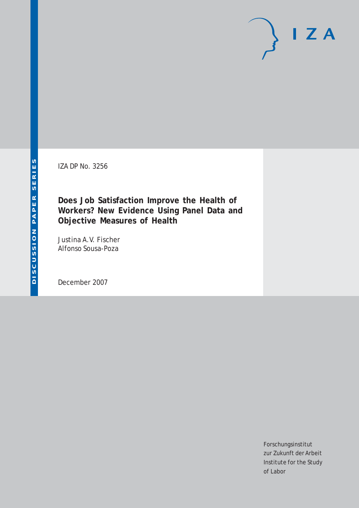IZA DP No. 3256

**Does Job Satisfaction Improve the Health of Workers? New Evidence Using Panel Data and Objective Measures of Health**

Justina A.V. Fischer Alfonso Sousa-Poza

December 2007

Forschungsinstitut zur Zukunft der Arbeit Institute for the Study of Labor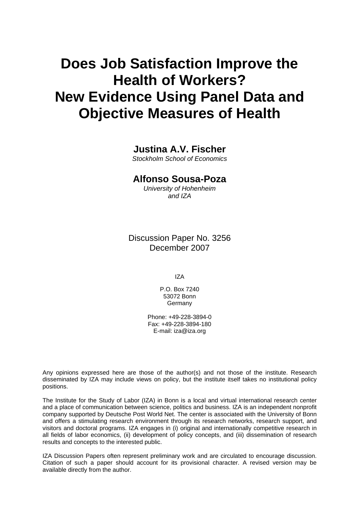# **Does Job Satisfaction Improve the Health of Workers? New Evidence Using Panel Data and Objective Measures of Health**

## **Justina A.V. Fischer**

*Stockholm School of Economics* 

# **Alfonso Sousa-Poza**

*University of Hohenheim and IZA* 

Discussion Paper No. 3256 December 2007

IZA

P.O. Box 7240 53072 Bonn Germany

Phone: +49-228-3894-0 Fax: +49-228-3894-180 E-mail: [iza@iza.org](mailto:iza@iza.org)

Any opinions expressed here are those of the author(s) and not those of the institute. Research disseminated by IZA may include views on policy, but the institute itself takes no institutional policy positions.

The Institute for the Study of Labor (IZA) in Bonn is a local and virtual international research center and a place of communication between science, politics and business. IZA is an independent nonprofit company supported by Deutsche Post World Net. The center is associated with the University of Bonn and offers a stimulating research environment through its research networks, research support, and visitors and doctoral programs. IZA engages in (i) original and internationally competitive research in all fields of labor economics, (ii) development of policy concepts, and (iii) dissemination of research results and concepts to the interested public.

IZA Discussion Papers often represent preliminary work and are circulated to encourage discussion. Citation of such a paper should account for its provisional character. A revised version may be available directly from the author.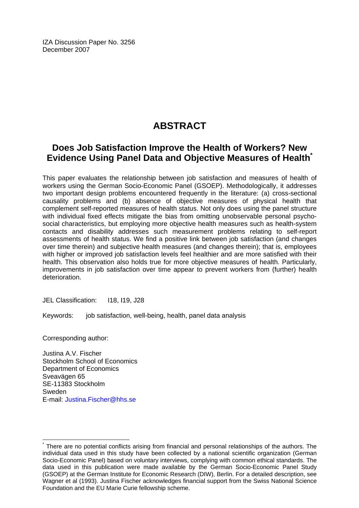IZA Discussion Paper No. 3256 December 2007

# **ABSTRACT**

# **Does Job Satisfaction Improve the Health of Workers? New Evidence Using Panel Data and Objective Measures of Health[\\*](#page-2-0)**

This paper evaluates the relationship between job satisfaction and measures of health of workers using the German Socio-Economic Panel (GSOEP). Methodologically, it addresses two important design problems encountered frequently in the literature: (a) cross-sectional causality problems and (b) absence of objective measures of physical health that complement self-reported measures of health status. Not only does using the panel structure with individual fixed effects mitigate the bias from omitting unobservable personal psychosocial characteristics, but employing more objective health measures such as health-system contacts and disability addresses such measurement problems relating to self-report assessments of health status. We find a positive link between job satisfaction (and changes over time therein) and subjective health measures (and changes therein); that is, employees with higher or improved job satisfaction levels feel healthier and are more satisfied with their health. This observation also holds true for more objective measures of health. Particularly, improvements in job satisfaction over time appear to prevent workers from (further) health deterioration.

JEL Classification: I18, I19, J28

Keywords: job satisfaction, well-being, health, panel data analysis

Corresponding author:

 $\overline{a}$ 

Justina A.V. Fischer Stockholm School of Economics Department of Economics Sveavägen 65 SE-11383 Stockholm Sweden E-mail: [Justina.Fischer@hhs.se](mailto:Justina.Fischer@hhs.se)

<span id="page-2-0"></span><sup>\*</sup> There are no potential conflicts arising from financial and personal relationships of the authors. The individual data used in this study have been collected by a national scientific organization (German Socio-Economic Panel) based on voluntary interviews, complying with common ethical standards. The data used in this publication were made available by the German Socio-Economic Panel Study (GSOEP) at the German Institute for Economic Research (DIW), Berlin. For a detailed description, see Wagner et al (1993). Justina Fischer acknowledges financial support from the Swiss National Science Foundation and the EU Marie Curie fellowship scheme.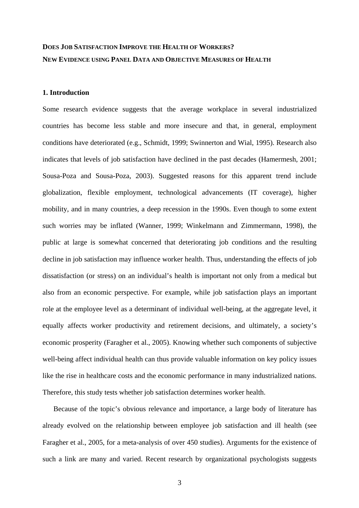# **DOES JOB SATISFACTION IMPROVE THE HEALTH OF WORKERS? NEW EVIDENCE USING PANEL DATA AND OBJECTIVE MEASURES OF HEALTH**

#### **1. Introduction**

Some research evidence suggests that the average workplace in several industrialized countries has become less stable and more insecure and that, in general, employment conditions have deteriorated (e.g., Schmidt, 1999; Swinnerton and Wial, 1995). Research also indicates that levels of job satisfaction have declined in the past decades (Hamermesh, 2001; Sousa-Poza and Sousa-Poza, 2003). Suggested reasons for this apparent trend include globalization, flexible employment, technological advancements (IT coverage), higher mobility, and in many countries, a deep recession in the 1990s. Even though to some extent such worries may be inflated (Wanner, 1999; Winkelmann and Zimmermann, 1998), the public at large is somewhat concerned that deteriorating job conditions and the resulting decline in job satisfaction may influence worker health. Thus, understanding the effects of job dissatisfaction (or stress) on an individual's health is important not only from a medical but also from an economic perspective. For example, while job satisfaction plays an important role at the employee level as a determinant of individual well-being, at the aggregate level, it equally affects worker productivity and retirement decisions, and ultimately, a society's economic prosperity (Faragher et al., 2005). Knowing whether such components of subjective well-being affect individual health can thus provide valuable information on key policy issues like the rise in healthcare costs and the economic performance in many industrialized nations. Therefore, this study tests whether job satisfaction determines worker health.

Because of the topic's obvious relevance and importance, a large body of literature has already evolved on the relationship between employee job satisfaction and ill health (see Faragher et al., 2005, for a meta-analysis of over 450 studies). Arguments for the existence of such a link are many and varied. Recent research by organizational psychologists suggests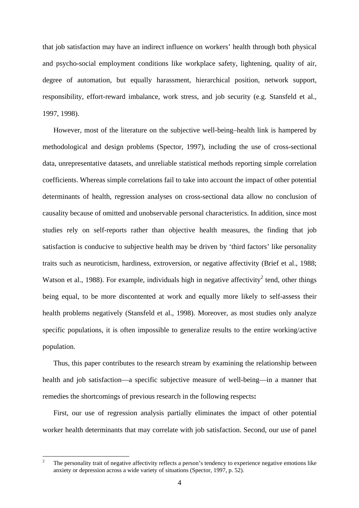that job satisfaction may have an indirect influence on workers' health through both physical and psycho-social employment conditions like workplace safety, lightening, quality of air, degree of automation, but equally harassment, hierarchical position, network support, responsibility, effort-reward imbalance, work stress, and job security (e.g. Stansfeld et al., 1997, 1998).

However, most of the literature on the subjective well-being–health link is hampered by methodological and design problems (Spector, 1997), including the use of cross-sectional data, unrepresentative datasets, and unreliable statistical methods reporting simple correlation coefficients. Whereas simple correlations fail to take into account the impact of other potential determinants of health, regression analyses on cross-sectional data allow no conclusion of causality because of omitted and unobservable personal characteristics. In addition, since most studies rely on self-reports rather than objective health measures, the finding that job satisfaction is conducive to subjective health may be driven by 'third factors' like personality traits such as neuroticism, hardiness, extroversion, or negative affectivity (Brief et al., 1988; Watson et al., 1988). For example, individuals high in negative affectivity<sup>2</sup> tend, other things being equal, to be more discontented at work and equally more likely to self-assess their health problems negatively (Stansfeld et al., 1998). Moreover, as most studies only analyze specific populations, it is often impossible to generalize results to the entire working/active population.

Thus, this paper contributes to the research stream by examining the relationship between health and job satisfaction—a specific subjective measure of well-being—in a manner that remedies the shortcomings of previous research in the following respects**:**

First, our use of regression analysis partially eliminates the impact of other potential worker health determinants that may correlate with job satisfaction. Second, our use of panel

<span id="page-4-0"></span> $\overline{2}$ The personality trait of negative affectivity reflects a person's tendency to experience negative emotions like anxiety or depression across a wide variety of situations (Spector, 1997, p. 52).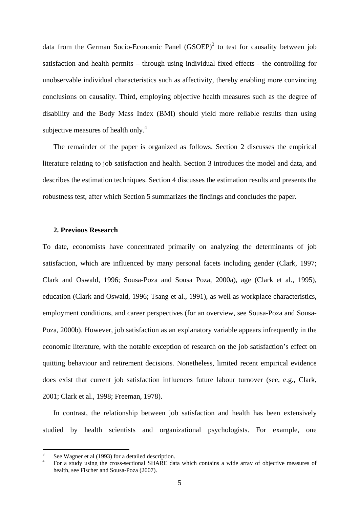data from the German Socio-Economic Panel (GSOEP)<sup>[3](#page-5-0)</sup> to test for causality between job satisfaction and health permits – through using individual fixed effects - the controlling for unobservable individual characteristics such as affectivity, thereby enabling more convincing conclusions on causality. Third, employing objective health measures such as the degree of disability and the Body Mass Index (BMI) should yield more reliable results than using subjective measures of health only. $4$ 

The remainder of the paper is organized as follows. Section 2 discusses the empirical literature relating to job satisfaction and health. Section 3 introduces the model and data, and describes the estimation techniques. Section 4 discusses the estimation results and presents the robustness test, after which Section 5 summarizes the findings and concludes the paper.

#### **2. Previous Research**

To date, economists have concentrated primarily on analyzing the determinants of job satisfaction, which are influenced by many personal facets including gender (Clark, 1997; Clark and Oswald, 1996; Sousa-Poza and Sousa Poza, 2000a), age (Clark et al., 1995), education (Clark and Oswald, 1996; Tsang et al., 1991), as well as workplace characteristics, employment conditions, and career perspectives (for an overview, see Sousa-Poza and Sousa-Poza, 2000b). However, job satisfaction as an explanatory variable appears infrequently in the economic literature, with the notable exception of research on the job satisfaction's effect on quitting behaviour and retirement decisions. Nonetheless, limited recent empirical evidence does exist that current job satisfaction influences future labour turnover (see, e.g., Clark, 2001; Clark et al., 1998; Freeman, 1978).

In contrast, the relationship between job satisfaction and health has been extensively studied by health scientists and organizational psychologists. For example, one

<sup>3</sup>

<span id="page-5-1"></span><span id="page-5-0"></span>See Wagner et al (1993) for a detailed description.<br>
<sup>4</sup> For a study using the cross-sectional SHARE data which contains a wide array of objective measures of health, see Fischer and Sousa-Poza (2007).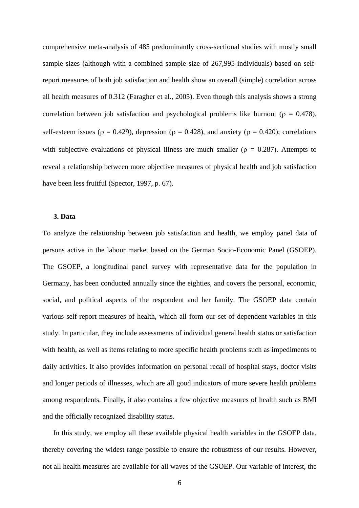comprehensive meta-analysis of 485 predominantly cross-sectional studies with mostly small sample sizes (although with a combined sample size of 267,995 individuals) based on selfreport measures of both job satisfaction and health show an overall (simple) correlation across all health measures of 0.312 (Faragher et al., 2005). Even though this analysis shows a strong correlation between job satisfaction and psychological problems like burnout ( $\rho = 0.478$ ), self-esteem issues ( $\rho = 0.429$ ), depression ( $\rho = 0.428$ ), and anxiety ( $\rho = 0.420$ ); correlations with subjective evaluations of physical illness are much smaller ( $\rho = 0.287$ ). Attempts to reveal a relationship between more objective measures of physical health and job satisfaction have been less fruitful (Spector, 1997, p. 67).

#### **3. Data**

To analyze the relationship between job satisfaction and health, we employ panel data of persons active in the labour market based on the German Socio-Economic Panel (GSOEP). The GSOEP, a longitudinal panel survey with representative data for the population in Germany, has been conducted annually since the eighties, and covers the personal, economic, social, and political aspects of the respondent and her family. The GSOEP data contain various self-report measures of health, which all form our set of dependent variables in this study. In particular, they include assessments of individual general health status or satisfaction with health, as well as items relating to more specific health problems such as impediments to daily activities. It also provides information on personal recall of hospital stays, doctor visits and longer periods of illnesses, which are all good indicators of more severe health problems among respondents. Finally, it also contains a few objective measures of health such as BMI and the officially recognized disability status.

In this study, we employ all these available physical health variables in the GSOEP data, thereby covering the widest range possible to ensure the robustness of our results. However, not all health measures are available for all waves of the GSOEP. Our variable of interest, the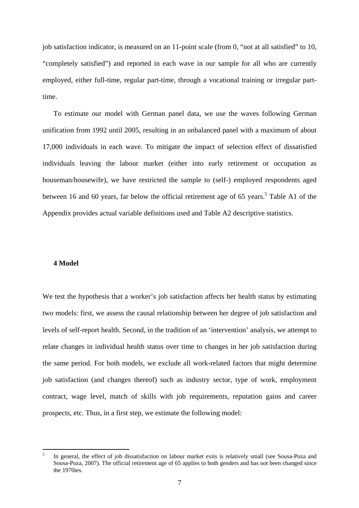job satisfaction indicator, is measured on an 11-point scale (from 0, "not at all satisfied" to 10, "completely satisfied") and reported in each wave in our sample for all who are currently employed, either full-time, regular part-time, through a vocational training or irregular parttime.

To estimate our model with German panel data, we use the waves following German unification from 1992 until 2005, resulting in an unbalanced panel with a maximum of about 17,000 individuals in each wave. To mitigate the impact of selection effect of dissatisfied individuals leaving the labour market (either into early retirement or occupation as houseman/housewife), we have restricted the sample to (self-) employed respondents aged between 16 and 60 years, far below the official retirement age of 6[5](#page-7-0) years.<sup>5</sup> Table A1 of the Appendix provides actual variable definitions used and Table A2 descriptive statistics.

#### **4 Model**

 $\overline{a}$ 

We test the hypothesis that a worker's job satisfaction affects her health status by estimating two models: first, we assess the causal relationship between her degree of job satisfaction and levels of self-report health. Second, in the tradition of an 'intervention' analysis, we attempt to relate changes in individual health status over time to changes in her job satisfaction during the same period. For both models, we exclude all work-related factors that might determine job satisfaction (and changes thereof) such as industry sector, type of work, employment contract, wage level, match of skills with job requirements, reputation gains and career prospects, etc. Thus, in a first step, we estimate the following model:

<span id="page-7-0"></span><sup>5</sup> In general, the effect of job dissatisfaction on labour market exits is relatively small (see Sousa-Poza and Sousa-Poza, 2007). The official retirement age of 65 applies to both genders and has not been changed since the 1970ies.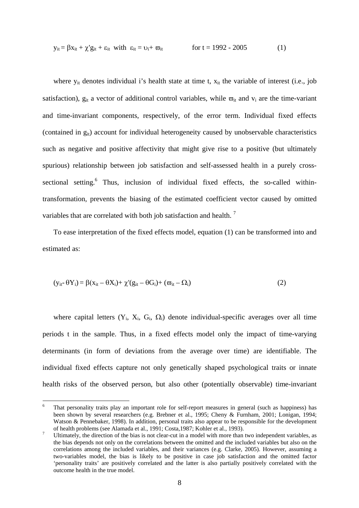$$
y_{it} = \beta x_{it} + \chi' g_{it} + \varepsilon_{it} \text{ with } \varepsilon_{it} = v_i + \varpi_{it} \qquad \text{for } t = 1992 - 2005 \tag{1}
$$

where  $y_{it}$  denotes individual i's health state at time t,  $x_{it}$  the variable of interest (i.e., job satisfaction),  $g_{it}$  a vector of additional control variables, while  $\overline{\omega}_{it}$  and  $v_i$  are the time-variant and time-invariant components, respectively, of the error term. Individual fixed effects (contained in  $g_{it}$ ) account for individual heterogeneity caused by unobservable characteristics such as negative and positive affectivity that might give rise to a positive (but ultimately spurious) relationship between job satisfaction and self-assessed health in a purely cross-sectional setting.<sup>[6](#page-8-0)</sup> Thus, inclusion of individual fixed effects, the so-called withintransformation, prevents the biasing of the estimated coefficient vector caused by omitted variables that are correlated with both job satisfaction and health.<sup>[7](#page-8-1)</sup>

To ease interpretation of the fixed effects model, equation (1) can be transformed into and estimated as:

$$
(y_{it} - \theta Y_i) = \beta(x_{it} - \theta X_i) + \chi'(g_{it} - \theta G_i) + (\varpi_{it} - \Omega_i)
$$
\n(2)

where capital letters  $(Y_i, X_i, G_i, \Omega_i)$  denote individual-specific averages over all time periods t in the sample. Thus, in a fixed effects model only the impact of time-varying determinants (in form of deviations from the average over time) are identifiable. The individual fixed effects capture not only genetically shaped psychological traits or innate health risks of the observed person, but also other (potentially observable) time-invariant

<span id="page-8-0"></span><sup>6</sup> That personality traits play an important role for self-report measures in general (such as happiness) has been shown by several researchers (e.g. Brebner et al., 1995; Cheny & Furnham, 2001; Lonigan, 1994; Watson & Pennebaker, 1998). In addition, personal traits also appear to be responsible for the development

<span id="page-8-1"></span>of health problems (see Alamada et al., 1991; Costa,1987; Kohler et al., 1993).<br>Ultimately, the direction of the bias is not clear-cut in a model with more than two independent variables, as the bias depends not only on the correlations between the omitted and the included variables but also on the correlations among the included variables, and their variances (e.g. Clarke, 2005). However, assuming a two-variables model, the bias is likely to be positive in case job satisfaction and the omitted factor 'personality traits' are positively correlated and the latter is also partially positively correlated with the outcome health in the true model.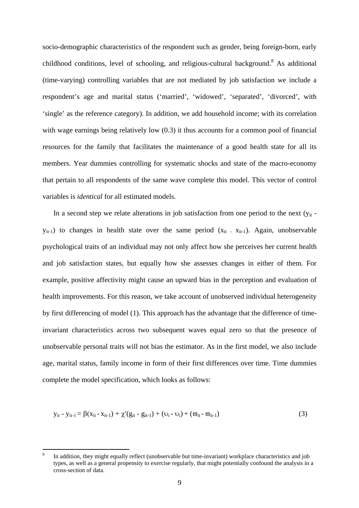socio-demographic characteristics of the respondent such as gender, being foreign-born, early childhood conditions, level of schooling, and religious-cultural background.<sup>8</sup> As additional (time-varying) controlling variables that are not mediated by job satisfaction we include a respondent's age and marital status ('married', 'widowed', 'separated', 'divorced', with 'single' as the reference category). In addition, we add household income; with its correlation with wage earnings being relatively low  $(0.3)$  it thus accounts for a common pool of financial resources for the family that facilitates the maintenance of a good health state for all its members. Year dummies controlling for systematic shocks and state of the macro-economy that pertain to all respondents of the same wave complete this model. This vector of control variables is *identical* for all estimated models.

In a second step we relate alterations in job satisfaction from one period to the next  $(y_{it}$  $y_{it-1}$ ) to changes in health state over the same period  $(x_{it} x_{it-1})$ . Again, unobservable psychological traits of an individual may not only affect how she perceives her current health and job satisfaction states, but equally how she assesses changes in either of them. For example, positive affectivity might cause an upward bias in the perception and evaluation of health improvements. For this reason, we take account of unobserved individual heterogeneity by first differencing of model (1). This approach has the advantage that the difference of timeinvariant characteristics across two subsequent waves equal zero so that the presence of unobservable personal traits will not bias the estimator. As in the first model, we also include age, marital status, family income in form of their first differences over time. Time dummies complete the model specification, which looks as follows:

$$
y_{it} - y_{it-1} = \beta(x_{it} - x_{it-1}) + \chi'(g_{it} - g_{it-1}) + (v_i - v_i) + (\varpi_{it} - \varpi_{it-1})
$$
\n(3)

<span id="page-9-0"></span><sup>8</sup> In addition, they might equally reflect (unobservable but time-invariant) workplace characteristics and job types, as well as a general propensity to exercise regularly, that might potentially confound the analysis in a cross-section of data.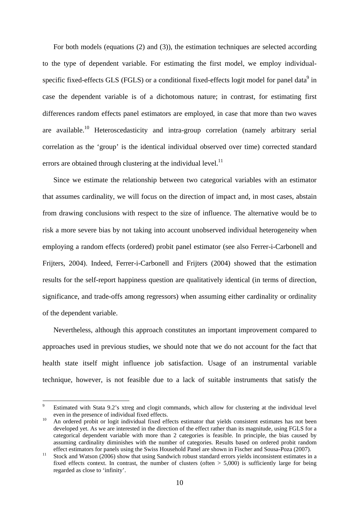For both models (equations (2) and (3)), the estimation techniques are selected according to the type of dependent variable. For estimating the first model, we employ individual-specific fixed-effects GLS (FGLS) or a conditional fixed-effects logit model for panel data<sup>[9](#page-10-0)</sup> in case the dependent variable is of a dichotomous nature; in contrast, for estimating first differences random effects panel estimators are employed, in case that more than two waves are available.<sup>10</sup> Heteroscedasticity and intra-group correlation (namely arbitrary serial correlation as the 'group' is the identical individual observed over time) corrected standard errors are obtained through clustering at the individual level. $^{11}$ 

Since we estimate the relationship between two categorical variables with an estimator that assumes cardinality, we will focus on the direction of impact and, in most cases, abstain from drawing conclusions with respect to the size of influence. The alternative would be to risk a more severe bias by not taking into account unobserved individual heterogeneity when employing a random effects (ordered) probit panel estimator (see also Ferrer-i-Carbonell and Frijters, 2004). Indeed, Ferrer-i-Carbonell and Frijters (2004) showed that the estimation results for the self-report happiness question are qualitatively identical (in terms of direction, significance, and trade-offs among regressors) when assuming either cardinality or ordinality of the dependent variable.

Nevertheless, although this approach constitutes an important improvement compared to approaches used in previous studies, we should note that we do not account for the fact that health state itself might influence job satisfaction. Usage of an instrumental variable technique, however, is not feasible due to a lack of suitable instruments that satisfy the

<span id="page-10-0"></span><sup>9</sup> Estimated with Stata 9.2's xtreg and clogit commands, which allow for clustering at the individual level even in the presence of individual fixed effects.<br><sup>10</sup> An ordered probit or logit individual fixed effects estimator that yields consistent estimates has not been

<span id="page-10-1"></span>developed yet. As we are interested in the direction of the effect rather than its magnitude, using FGLS for a categorical dependent variable with more than 2 categories is feasible. In principle, the bias caused by assuming cardinality diminishes with the number of categories. Results based on ordered probit random

<span id="page-10-2"></span>effect estimators for panels using the Swiss Household Panel are shown in Fischer and Sousa-Poza (2007).<br><sup>11</sup> Stock and Watson (2006) show that using Sandwich robust standard errors yields inconsistent estimates in a fixed effects context. In contrast, the number of clusters (often  $> 5,000$ ) is sufficiently large for being regarded as close to 'infinity'.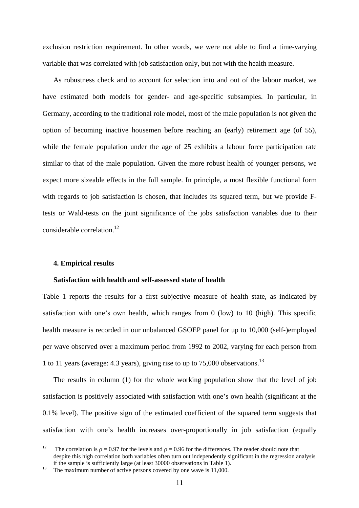exclusion restriction requirement. In other words, we were not able to find a time-varying variable that was correlated with job satisfaction only, but not with the health measure.

As robustness check and to account for selection into and out of the labour market, we have estimated both models for gender- and age-specific subsamples. In particular, in Germany, according to the traditional role model, most of the male population is not given the option of becoming inactive housemen before reaching an (early) retirement age (of 55), while the female population under the age of 25 exhibits a labour force participation rate similar to that of the male population. Given the more robust health of younger persons, we expect more sizeable effects in the full sample. In principle, a most flexible functional form with regards to job satisfaction is chosen, that includes its squared term, but we provide Ftests or Wald-tests on the joint significance of the jobs satisfaction variables due to their considerable correlation.<sup>12</sup>

#### **4. Empirical results**

#### **Satisfaction with health and self-assessed state of health**

Table 1 reports the results for a first subjective measure of health state, as indicated by satisfaction with one's own health, which ranges from 0 (low) to 10 (high). This specific health measure is recorded in our unbalanced GSOEP panel for up to 10,000 (self-)employed per wave observed over a maximum period from 1992 to 2002, varying for each person from 1 to 11 years (average: 4.3 years), giving rise to up to  $75,000$  observations.<sup>13</sup>

The results in column (1) for the whole working population show that the level of job satisfaction is positively associated with satisfaction with one's own health (significant at the 0.1% level). The positive sign of the estimated coefficient of the squared term suggests that satisfaction with one's health increases over**-**proportionally in job satisfaction (equally

<span id="page-11-0"></span> $12$ The correlation is  $\rho = 0.97$  for the levels and  $\rho = 0.96$  for the differences. The reader should note that despite this high correlation both variables often turn out independently significant in the regression analysis if the sample is sufficiently large (at least 30000 observations in Table 1). 13 The maximum number of active persons covered by one wave is 11,000.

<span id="page-11-1"></span>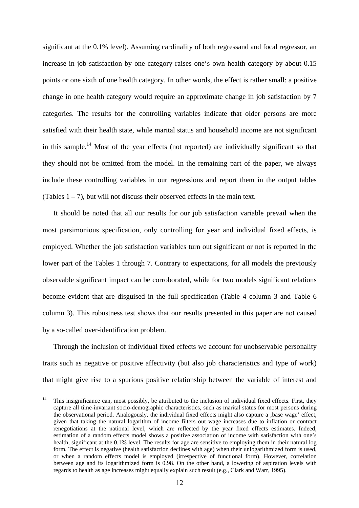significant at the 0.1% level). Assuming cardinality of both regressand and focal regressor, an increase in job satisfaction by one category raises one's own health category by about 0.15 points or one sixth of one health category. In other words, the effect is rather small: a positive change in one health category would require an approximate change in job satisfaction by 7 categories. The results for the controlling variables indicate that older persons are more satisfied with their health state, while marital status and household income are not significant in this sample.<sup>14</sup> Most of the year effects (not reported) are individually significant so that they should not be omitted from the model. In the remaining part of the paper, we always include these controlling variables in our regressions and report them in the output tables (Tables  $1 - 7$ ), but will not discuss their observed effects in the main text.

It should be noted that all our results for our job satisfaction variable prevail when the most parsimonious specification, only controlling for year and individual fixed effects, is employed. Whether the job satisfaction variables turn out significant or not is reported in the lower part of the Tables 1 through 7. Contrary to expectations, for all models the previously observable significant impact can be corroborated, while for two models significant relations become evident that are disguised in the full specification (Table 4 column 3 and Table 6 column 3). This robustness test shows that our results presented in this paper are not caused by a so-called over-identification problem.

Through the inclusion of individual fixed effects we account for unobservable personality traits such as negative or positive affectivity (but also job characteristics and type of work) that might give rise to a spurious positive relationship between the variable of interest and

<span id="page-12-0"></span> $14$ <sup>14</sup> This insignificance can, most possibly, be attributed to the inclusion of individual fixed effects. First, they capture all time-invariant socio-demographic characteristics, such as marital status for most persons during the observational period. Analogously, the individual fixed effects might also capture a ,base wage' effect, given that taking the natural logarithm of income filters out wage increases due to inflation or contract renegotiations at the national level, which are reflected by the year fixed effects estimates. Indeed, estimation of a random effects model shows a positive association of income with satisfaction with one's health, significant at the 0.1% level. The results for age are sensitive to employing them in their natural log form. The effect is negative (health satisfaction declines with age) when their unlogarithmized form is used, or when a random effects model is employed (irrespective of functional form). However, correlation between age and its logarithmized form is 0.98. On the other hand, a lowering of aspiration levels with regards to health as age increases might equally explain such result (e.g., Clark and Warr, 1995).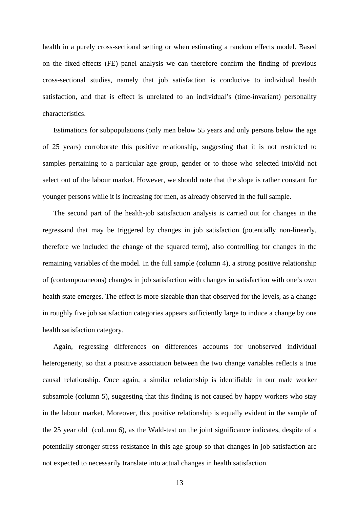health in a purely cross-sectional setting or when estimating a random effects model. Based on the fixed-effects (FE) panel analysis we can therefore confirm the finding of previous cross-sectional studies, namely that job satisfaction is conducive to individual health satisfaction, and that is effect is unrelated to an individual's (time-invariant) personality characteristics.

Estimations for subpopulations (only men below 55 years and only persons below the age of 25 years) corroborate this positive relationship, suggesting that it is not restricted to samples pertaining to a particular age group, gender or to those who selected into/did not select out of the labour market. However, we should note that the slope is rather constant for younger persons while it is increasing for men, as already observed in the full sample.

The second part of the health-job satisfaction analysis is carried out for changes in the regressand that may be triggered by changes in job satisfaction (potentially non-linearly, therefore we included the change of the squared term), also controlling for changes in the remaining variables of the model. In the full sample (column 4), a strong positive relationship of (contemporaneous) changes in job satisfaction with changes in satisfaction with one's own health state emerges. The effect is more sizeable than that observed for the levels, as a change in roughly five job satisfaction categories appears sufficiently large to induce a change by one health satisfaction category.

Again, regressing differences on differences accounts for unobserved individual heterogeneity, so that a positive association between the two change variables reflects a true causal relationship. Once again, a similar relationship is identifiable in our male worker subsample (column 5), suggesting that this finding is not caused by happy workers who stay in the labour market. Moreover, this positive relationship is equally evident in the sample of the 25 year old (column 6), as the Wald-test on the joint significance indicates, despite of a potentially stronger stress resistance in this age group so that changes in job satisfaction are not expected to necessarily translate into actual changes in health satisfaction.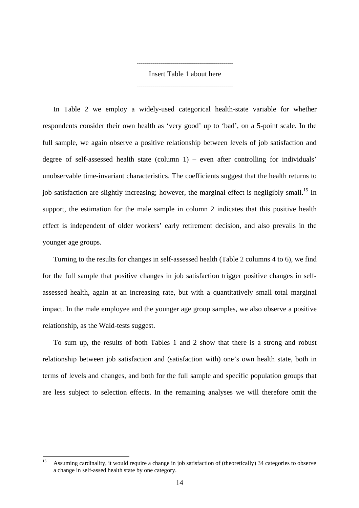Insert Table 1 about here ------------------------------------------------

------------------------------------------------

In Table 2 we employ a widely-used categorical health-state variable for whether respondents consider their own health as 'very good' up to 'bad', on a 5-point scale. In the full sample, we again observe a positive relationship between levels of job satisfaction and degree of self-assessed health state (column 1) – even after controlling for individuals' unobservable time-invariant characteristics. The coefficients suggest that the health returns to job satisfaction are slightly increasing; however, the marginal effect is negligibly small.<sup>15</sup> In support, the estimation for the male sample in column 2 indicates that this positive health effect is independent of older workers' early retirement decision, and also prevails in the younger age groups.

Turning to the results for changes in self-assessed health (Table 2 columns 4 to 6), we find for the full sample that positive changes in job satisfaction trigger positive changes in selfassessed health, again at an increasing rate, but with a quantitatively small total marginal impact. In the male employee and the younger age group samples, we also observe a positive relationship, as the Wald-tests suggest.

To sum up, the results of both Tables 1 and 2 show that there is a strong and robust relationship between job satisfaction and (satisfaction with) one's own health state, both in terms of levels and changes, and both for the full sample and specific population groups that are less subject to selection effects. In the remaining analyses we will therefore omit the

<span id="page-14-0"></span><sup>15</sup> Assuming cardinality, it would require a change in job satisfaction of (theoretically) 34 categories to observe a change in self-assed health state by one category.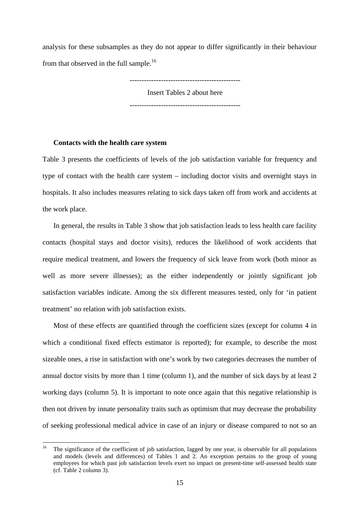analysis for these subsamples as they do not appear to differ significantly in their behaviour from that observed in the full sample.<sup>16</sup>

----------------------------------------------

Insert Tables 2 about here ----------------------------------------------

#### **Contacts with the health care system**

Table 3 presents the coefficients of levels of the job satisfaction variable for frequency and type of contact with the health care system – including doctor visits and overnight stays in hospitals. It also includes measures relating to sick days taken off from work and accidents at the work place.

In general, the results in Table 3 show that job satisfaction leads to less health care facility contacts (hospital stays and doctor visits), reduces the likelihood of work accidents that require medical treatment, and lowers the frequency of sick leave from work (both minor as well as more severe illnesses); as the either independently or jointly significant job satisfaction variables indicate. Among the six different measures tested, only for 'in patient treatment' no relation with job satisfaction exists.

Most of these effects are quantified through the coefficient sizes (except for column 4 in which a conditional fixed effects estimator is reported); for example, to describe the most sizeable ones, a rise in satisfaction with one's work by two categories decreases the number of annual doctor visits by more than 1 time (column 1), and the number of sick days by at least 2 working days (column 5). It is important to note once again that this negative relationship is then not driven by innate personality traits such as optimism that may decrease the probability of seeking professional medical advice in case of an injury or disease compared to not so an

<span id="page-15-0"></span> $16$ The significance of the coefficient of job satisfaction, lagged by one year, is observable for all populations and models (levels and differences) of Tables 1 and 2. An exception pertains to the group of young employees for which past job satisfaction levels exert no impact on present-time self-assessed health state (cf. Table 2 column 3).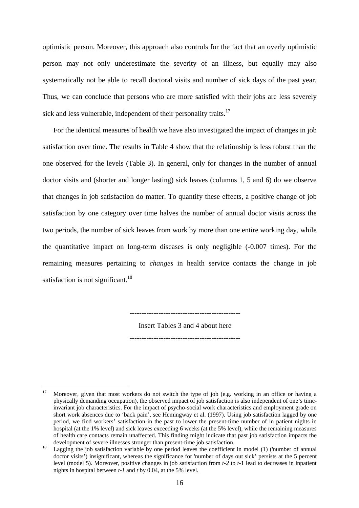optimistic person. Moreover, this approach also controls for the fact that an overly optimistic person may not only underestimate the severity of an illness, but equally may also systematically not be able to recall doctoral visits and number of sick days of the past year. Thus, we can conclude that persons who are more satisfied with their jobs are less severely sick and less vulnerable, independent of their personality traits.<sup>[17](#page-16-0)</sup>

For the identical measures of health we have also investigated the impact of changes in job satisfaction over time. The results in Table 4 show that the relationship is less robust than the one observed for the levels (Table 3). In general, only for changes in the number of annual doctor visits and (shorter and longer lasting) sick leaves (columns 1, 5 and 6) do we observe that changes in job satisfaction do matter. To quantify these effects, a positive change of job satisfaction by one category over time halves the number of annual doctor visits across the two periods, the number of sick leaves from work by more than one entire working day, while the quantitative impact on long-term diseases is only negligible (-0.007 times). For the remaining measures pertaining to *changes* in health service contacts the change in job satisfaction is not significant.<sup>18</sup>

----------------------------------------------

Insert Tables 3 and 4 about here

----------------------------------------------

<span id="page-16-0"></span><sup>17</sup> Moreover, given that most workers do not switch the type of job (e.g. working in an office or having a physically demanding occupation), the observed impact of job satisfaction is also independent of one's timeinvariant job characteristics. For the impact of psycho-social work characteristics and employment grade on short work absences due to 'back pain', see Hemingway et al. (1997). Using job satisfaction lagged by one period, we find workers' satisfaction in the past to lower the present-time number of in patient nights in hospital (at the 1% level) and sick leaves exceeding 6 weeks (at the 5% level), while the remaining measures of health care contacts remain unaffected. This finding might indicate that past job satisfaction impacts the

<span id="page-16-1"></span>development of severe illnesses stronger than present-time job satisfaction.<br><sup>18</sup> Lagging the job satisfaction variable by one period leaves the coefficient in model (1) ('number of annual doctor visits') insignificant, whereas the significance for 'number of days out sick' persists at the 5 percent level (model 5). Moreover, positive changes in job satisfaction from *t-2* to *t-*1 lead to decreases in inpatient nights in hospital between *t-1* and *t* by 0.04, at the 5% level.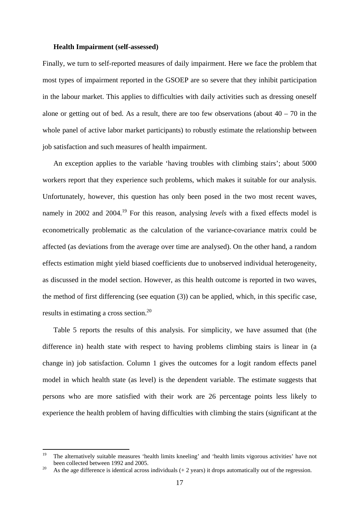#### **Health Impairment (self-assessed)**

Finally, we turn to self-reported measures of daily impairment. Here we face the problem that most types of impairment reported in the GSOEP are so severe that they inhibit participation in the labour market. This applies to difficulties with daily activities such as dressing oneself alone or getting out of bed. As a result, there are too few observations (about  $40 - 70$  in the whole panel of active labor market participants) to robustly estimate the relationship between job satisfaction and such measures of health impairment.

An exception applies to the variable 'having troubles with climbing stairs'; about 5000 workers report that they experience such problems, which makes it suitable for our analysis. Unfortunately, however, this question has only been posed in the two most recent waves, namely in 2002 and 2004.<sup>19</sup> For this reason, analysing *levels* with a fixed effects model is econometrically problematic as the calculation of the variance-covariance matrix could be affected (as deviations from the average over time are analysed). On the other hand, a random effects estimation might yield biased coefficients due to unobserved individual heterogeneity, as discussed in the model section. However, as this health outcome is reported in two waves, the method of first differencing (see equation (3)) can be applied, which, in this specific case, results in estimating a cross section[.20](#page-17-1) 

Table 5 reports the results of this analysis. For simplicity, we have assumed that (the difference in) health state with respect to having problems climbing stairs is linear in (a change in) job satisfaction. Column 1 gives the outcomes for a logit random effects panel model in which health state (as level) is the dependent variable. The estimate suggests that persons who are more satisfied with their work are 26 percentage points less likely to experience the health problem of having difficulties with climbing the stairs (significant at the

<span id="page-17-0"></span><sup>19</sup> <sup>19</sup> The alternatively suitable measures 'health limits kneeling' and 'health limits vigorous activities' have not been collected between 1992 and 2005.<br><sup>20</sup> As the age difference is identical across individuals (+ 2 years) it drops automatically out of the regression.

<span id="page-17-1"></span>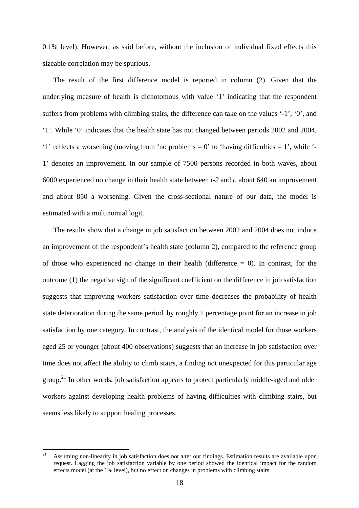0.1% level). However, as said before, without the inclusion of individual fixed effects this sizeable correlation may be spurious.

The result of the first difference model is reported in column (2). Given that the underlying measure of health is dichotomous with value '1' indicating that the respondent suffers from problems with climbing stairs, the difference can take on the values '-1', '0', and '1'. While '0' indicates that the health state has not changed between periods 2002 and 2004, '1' reflects a worsening (moving from 'no problems  $= 0$ ' to 'having difficulties  $= 1$ ', while '-1' denotes an improvement. In our sample of 7500 persons recorded in both waves, about 6000 experienced no change in their health state between *t-2* and *t*, about 640 an improvement and about 850 a worsening. Given the cross-sectional nature of our data, the model is estimated with a multinomial logit.

The results show that a change in job satisfaction between 2002 and 2004 does not induce an improvement of the respondent's health state (column 2), compared to the reference group of those who experienced no change in their health (difference  $= 0$ ). In contrast, for the outcome (1) the negative sign of the significant coefficient on the difference in job satisfaction suggests that improving workers satisfaction over time decreases the probability of health state deterioration during the same period, by roughly 1 percentage point for an increase in job satisfaction by one category. In contrast, the analysis of the identical model for those workers aged 25 or younger (about 400 observations) suggests that an increase in job satisfaction over time does not affect the ability to climb stairs, a finding not unexpected for this particular age group.<sup>21</sup> In other words, job satisfaction appears to protect particularly middle-aged and older workers against developing health problems of having difficulties with climbing stairs, but seems less likely to support healing processes.

<span id="page-18-0"></span><sup>21</sup> <sup>21</sup> Assuming non-linearity in job satisfaction does not alter our findings. Estimation results are available upon request. Lagging the job satisfaction variable by one period showed the identical impact for the random effects model (at the 1% level), but no effect on changes in problems with climbing stairs.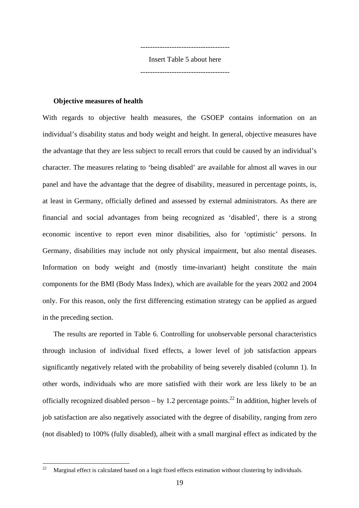------------------------------------- Insert Table 5 about here

-------------------------------------

#### **Objective measures of health**

With regards to objective health measures, the GSOEP contains information on an individual's disability status and body weight and height. In general, objective measures have the advantage that they are less subject to recall errors that could be caused by an individual's character. The measures relating to 'being disabled' are available for almost all waves in our panel and have the advantage that the degree of disability, measured in percentage points, is, at least in Germany, officially defined and assessed by external administrators. As there are financial and social advantages from being recognized as 'disabled', there is a strong economic incentive to report even minor disabilities, also for 'optimistic' persons. In Germany, disabilities may include not only physical impairment, but also mental diseases. Information on body weight and (mostly time-invariant) height constitute the main components for the BMI (Body Mass Index), which are available for the years 2002 and 2004 only. For this reason, only the first differencing estimation strategy can be applied as argued in the preceding section.

The results are reported in Table 6. Controlling for unobservable personal characteristics through inclusion of individual fixed effects, a lower level of job satisfaction appears significantly negatively related with the probability of being severely disabled (column 1). In other words, individuals who are more satisfied with their work are less likely to be an officially recognized disabled person – by 1.2 percentage points.<sup>22</sup> In addition, higher levels of job satisfaction are also negatively associated with the degree of disability, ranging from zero (not disabled) to 100% (fully disabled), albeit with a small marginal effect as indicated by the

<span id="page-19-0"></span><sup>22</sup> 22 Marginal effect is calculated based on a logit fixed effects estimation without clustering by individuals.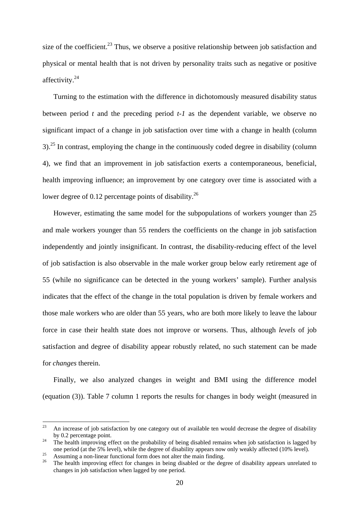size of the coefficient.<sup>23</sup> Thus, we observe a positive relationship between job satisfaction and physical or mental health that is not driven by personality traits such as negative or positive affectivity.[24](#page-20-1) 

Turning to the estimation with the difference in dichotomously measured disability status between period *t* and the preceding period *t-1* as the dependent variable, we observe no significant impact of a change in job satisfaction over time with a change in health (column  $3$ ).<sup>25</sup> In contrast, employing the change in the continuously coded degree in disability (column 4), we find that an improvement in job satisfaction exerts a contemporaneous, beneficial, health improving influence; an improvement by one category over time is associated with a lower degree of 0.12 percentage points of disability.<sup>26</sup>

However, estimating the same model for the subpopulations of workers younger than 25 and male workers younger than 55 renders the coefficients on the change in job satisfaction independently and jointly insignificant. In contrast, the disability-reducing effect of the level of job satisfaction is also observable in the male worker group below early retirement age of 55 (while no significance can be detected in the young workers' sample). Further analysis indicates that the effect of the change in the total population is driven by female workers and those male workers who are older than 55 years, who are both more likely to leave the labour force in case their health state does not improve or worsens. Thus, although *levels* of job satisfaction and degree of disability appear robustly related, no such statement can be made for *changes* therein.

Finally, we also analyzed changes in weight and BMI using the difference model (equation (3)). Table 7 column 1 reports the results for changes in body weight (measured in

<span id="page-20-0"></span><sup>23</sup> <sup>23</sup> An increase of job satisfaction by one category out of available ten would decrease the degree of disability

<span id="page-20-1"></span>by 0.2 percentage point.<br><sup>24</sup> The health improving effect on the probability of being disabled remains when job satisfaction is lagged by<br>3<sup>24</sup> one period (at the 5% level), while the degree of disability appears now only

<span id="page-20-3"></span><span id="page-20-2"></span>

<sup>25&</sup>lt;br>Assuming a non-linear functional form does not alter the main finding.<br><sup>26</sup> The health improving effect for changes in being disabled or the degree of disability appears unrelated to changes in job satisfaction when lagged by one period.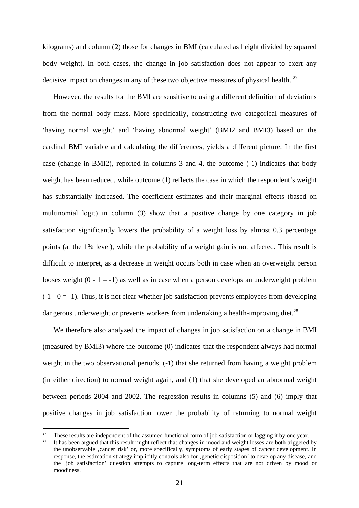kilograms) and column (2) those for changes in BMI (calculated as height divided by squared body weight). In both cases, the change in job satisfaction does not appear to exert any decisive impact on changes in any of these two objective measures of physical health.  $27$ 

However, the results for the BMI are sensitive to using a different definition of deviations from the normal body mass. More specifically, constructing two categorical measures of 'having normal weight' and 'having abnormal weight' (BMI2 and BMI3) based on the cardinal BMI variable and calculating the differences, yields a different picture. In the first case (change in BMI2), reported in columns 3 and 4, the outcome (-1) indicates that body weight has been reduced, while outcome (1) reflects the case in which the respondent's weight has substantially increased. The coefficient estimates and their marginal effects (based on multinomial logit) in column (3) show that a positive change by one category in job satisfaction significantly lowers the probability of a weight loss by almost 0.3 percentage points (at the 1% level), while the probability of a weight gain is not affected. This result is difficult to interpret, as a decrease in weight occurs both in case when an overweight person looses weight  $(0 - 1 = -1)$  as well as in case when a person develops an underweight problem  $(-1 - 0 = -1)$ . Thus, it is not clear whether job satisfaction prevents employees from developing dangerous underweight or prevents workers from undertaking a health-improving diet.<sup>28</sup>

We therefore also analyzed the impact of changes in job satisfaction on a change in BMI (measured by BMI3) where the outcome (0) indicates that the respondent always had normal weight in the two observational periods,  $(-1)$  that she returned from having a weight problem (in either direction) to normal weight again, and (1) that she developed an abnormal weight between periods 2004 and 2002. The regression results in columns (5) and (6) imply that positive changes in job satisfaction lower the probability of returning to normal weight

<span id="page-21-0"></span><sup>&</sup>lt;sup>27</sup> These results are independent of the assumed functional form of job satisfaction or lagging it by one year.<br><sup>28</sup> It has been argued that this result might reflect that changes in mood and weight losses are both trigg

<span id="page-21-1"></span>the unobservable 'cancer risk' or, more specifically, symptoms of early stages of cancer development. In response, the estimation strategy implicitly controls also for , genetic disposition' to develop any disease, and the ,job satisfaction' question attempts to capture long-term effects that are not driven by mood or moodiness.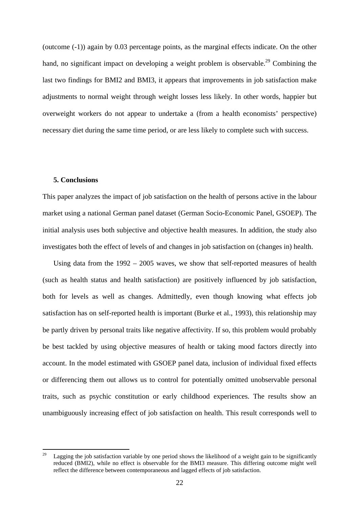(outcome (-1)) again by 0.03 percentage points, as the marginal effects indicate. On the other hand, no significant impact on developing a weight problem is observable.<sup>29</sup> Combining the last two findings for BMI2 and BMI3, it appears that improvements in job satisfaction make adjustments to normal weight through weight losses less likely. In other words, happier but overweight workers do not appear to undertake a (from a health economists' perspective) necessary diet during the same time period, or are less likely to complete such with success.

#### **5. Conclusions**

This paper analyzes the impact of job satisfaction on the health of persons active in the labour market using a national German panel dataset (German Socio-Economic Panel, GSOEP). The initial analysis uses both subjective and objective health measures. In addition, the study also investigates both the effect of levels of and changes in job satisfaction on (changes in) health.

Using data from the 1992 – 2005 waves, we show that self-reported measures of health (such as health status and health satisfaction) are positively influenced by job satisfaction, both for levels as well as changes. Admittedly, even though knowing what effects job satisfaction has on self-reported health is important (Burke et al., 1993), this relationship may be partly driven by personal traits like negative affectivity. If so, this problem would probably be best tackled by using objective measures of health or taking mood factors directly into account. In the model estimated with GSOEP panel data, inclusion of individual fixed effects or differencing them out allows us to control for potentially omitted unobservable personal traits, such as psychic constitution or early childhood experiences. The results show an unambiguously increasing effect of job satisfaction on health. This result corresponds well to

<span id="page-22-0"></span><sup>29</sup> Lagging the job satisfaction variable by one period shows the likelihood of a weight gain to be significantly reduced (BMI2), while no effect is observable for the BMI3 measure. This differing outcome might well reflect the difference between contemporaneous and lagged effects of job satisfaction.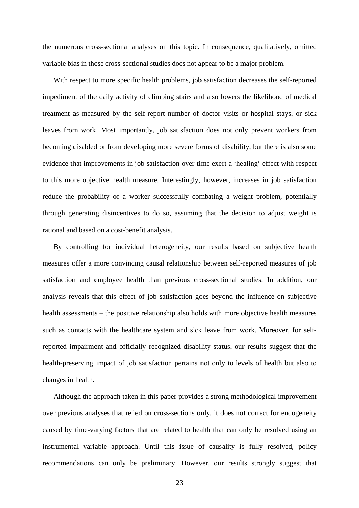the numerous cross-sectional analyses on this topic. In consequence, qualitatively, omitted variable bias in these cross-sectional studies does not appear to be a major problem.

With respect to more specific health problems, job satisfaction decreases the self-reported impediment of the daily activity of climbing stairs and also lowers the likelihood of medical treatment as measured by the self-report number of doctor visits or hospital stays, or sick leaves from work. Most importantly, job satisfaction does not only prevent workers from becoming disabled or from developing more severe forms of disability, but there is also some evidence that improvements in job satisfaction over time exert a 'healing' effect with respect to this more objective health measure. Interestingly, however, increases in job satisfaction reduce the probability of a worker successfully combating a weight problem, potentially through generating disincentives to do so, assuming that the decision to adjust weight is rational and based on a cost-benefit analysis.

By controlling for individual heterogeneity, our results based on subjective health measures offer a more convincing causal relationship between self-reported measures of job satisfaction and employee health than previous cross-sectional studies. In addition, our analysis reveals that this effect of job satisfaction goes beyond the influence on subjective health assessments – the positive relationship also holds with more objective health measures such as contacts with the healthcare system and sick leave from work. Moreover, for selfreported impairment and officially recognized disability status, our results suggest that the health-preserving impact of job satisfaction pertains not only to levels of health but also to changes in health.

Although the approach taken in this paper provides a strong methodological improvement over previous analyses that relied on cross-sections only, it does not correct for endogeneity caused by time-varying factors that are related to health that can only be resolved using an instrumental variable approach. Until this issue of causality is fully resolved, policy recommendations can only be preliminary. However, our results strongly suggest that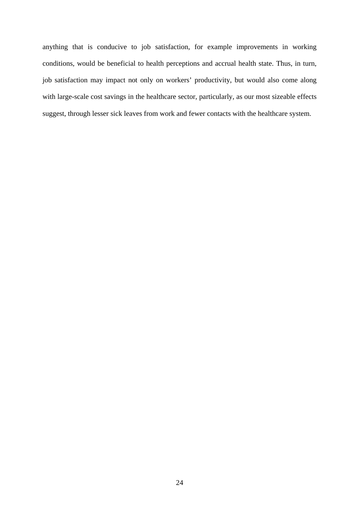anything that is conducive to job satisfaction, for example improvements in working conditions, would be beneficial to health perceptions and accrual health state. Thus, in turn, job satisfaction may impact not only on workers' productivity, but would also come along with large-scale cost savings in the healthcare sector, particularly, as our most sizeable effects suggest, through lesser sick leaves from work and fewer contacts with the healthcare system.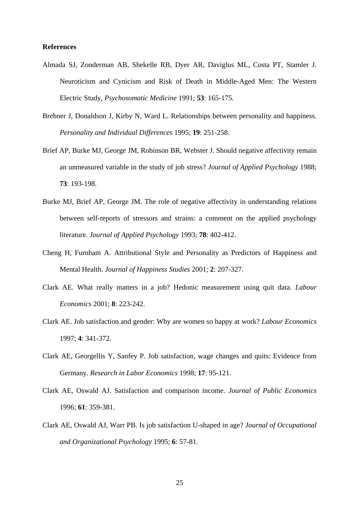#### **References**

- Almada SJ, Zonderman AB, Shekelle RB, Dyer AR, Daviglus ML, Costa PT, Stamler J. Neuroticism and Cynicism and Risk of Death in Middle-Aged Men: The Western Electric Study, *Psychosomatic Medicine* 1991; **53**: 165-175.
- Brebner J, Donaldson J, Kirby N, Ward L. Relationships between personality and happiness. *Personality and Individual Differences* 1995; **19**: 251-258.
- Brief AP, Burke MJ, George JM, Robinson BR, Webster J. Should negative affectivity remain an unmeasured variable in the study of job stress? *Journal of Applied Psychology* 1988; **73**: 193-198.
- Burke MJ, Brief AP, George JM. The role of negative affectivity in understanding relations between self-reports of stressors and strains: a comment on the applied psychology literature. *Journal of Applied Psychology* 1993; **78**: 402-412.
- Cheng H, Furnham A. Attributional Style and Personality as Predictors of Happiness and Mental Health. *Journal of Happiness Studies* 2001; **2**: 207-327.
- Clark AE. What really matters in a job? Hedonic measurement using quit data. *Labour Economics* 2001; **8**: 223-242.
- Clark AE. Job satisfaction and gender: Why are women so happy at work? *Labour Economics* 1997; **4**: 341-372.
- Clark AE, Georgellis Y, Sanfey P. Job satisfaction, wage changes and quits: Evidence from Germany. *Research in Labor Economics* 1998; **17**: 95-121.
- Clark AE, Oswald AJ. Satisfaction and comparison income. *Journal of Public Economics* 1996; **61**: 359-381.
- Clark AE, Oswald AJ, Warr PB. Is job satisfaction U-shaped in age? *Journal of Occupational and Organizational Psychology* 1995; **6**: 57-81.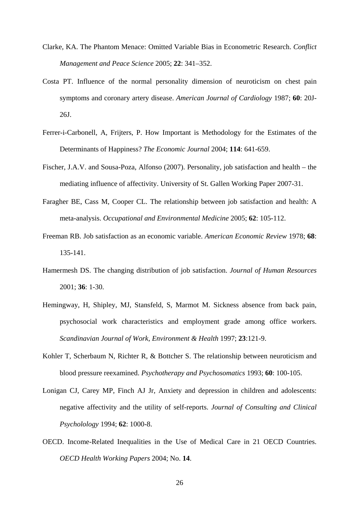- Clarke, KA. The Phantom Menace: Omitted Variable Bias in Econometric Research. *Conflict Management and Peace Science* 2005; **22**: 341–352.
- Costa PT. Influence of the normal personality dimension of neuroticism on chest pain symptoms and coronary artery disease. *American Journal of Cardiology* 1987; **60**: 20J-26J.
- Ferrer-i-Carbonell, A, Frijters, P. How Important is Methodology for the Estimates of the Determinants of Happiness? *The Economic Journal* 2004; **114**: 641-659.
- Fischer, J.A.V. and Sousa-Poza, Alfonso (2007). Personality, job satisfaction and health the mediating influence of affectivity. University of St. Gallen Working Paper 2007-31.
- Faragher BE, Cass M, Cooper CL. The relationship between job satisfaction and health: A meta-analysis. *Occupational and Environmental Medicine* 2005; **62**: 105-112.
- Freeman RB. Job satisfaction as an economic variable. *American Economic Review* 1978; **68**: 135-141.
- Hamermesh DS. The changing distribution of job satisfaction. *Journal of Human Resources* 2001; **36**: 1-30.
- Hemingway, H, Shipley, MJ, Stansfeld, S, Marmot M. Sickness absence from back pain, psychosocial work characteristics and employment grade among office workers. *Scandinavian Journal of Work, Environment & Health* 1997; **23**:121-9.
- Kohler T, Scherbaum N, Richter R, & Bottcher S. The relationship between neuroticism and blood pressure reexamined. *Psychotherapy and Psychosomatics* 1993; **60**: 100-105.
- Lonigan CJ, Carey MP, Finch AJ Jr, Anxiety and depression in children and adolescents: negative affectivity and the utility of self-reports. *Journal of Consulting and Clinical Psycholology* 1994; **62**: 1000-8.
- OECD. Income-Related Inequalities in the Use of Medical Care in 21 OECD Countries. *OECD Health Working Papers* 2004; No. **14**.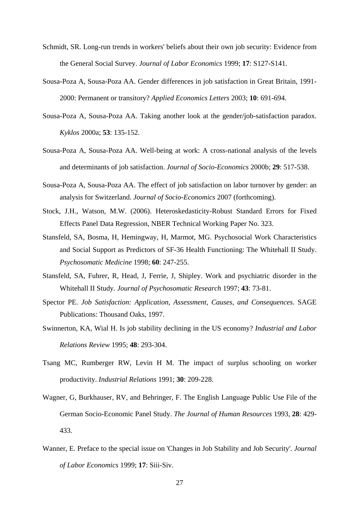- Schmidt, SR. Long-run trends in workers' beliefs about their own job security: Evidence from the General Social Survey. *Journal of Labor Economics* 1999; **17**: S127-S141.
- Sousa-Poza A, Sousa-Poza AA. Gender differences in job satisfaction in Great Britain, 1991- 2000: Permanent or transitory? *Applied Economics Letters* 2003; **10**: 691-694.
- Sousa-Poza A, Sousa-Poza AA. Taking another look at the gender/job-satisfaction paradox. *Kyklos* 2000a; **53**: 135-152.
- Sousa-Poza A, Sousa-Poza AA. Well-being at work: A cross-national analysis of the levels and determinants of job satisfaction. *Journal of Socio-Economics* 2000b; **29**: 517-538.
- Sousa-Poza A, Sousa-Poza AA. The effect of job satisfaction on labor turnover by gender: an analysis for Switzerland. *Journal of Socio-Economics* 2007 (forthcoming).
- Stock, J.H., Watson, M.W. (2006). Heteroskedasticity-Robust Standard Errors for Fixed Effects Panel Data Regression, NBER Technical Working Paper No. 323.
- Stansfeld, SA, Bosma, H, Hemingway, H, Marmot, MG. Psychosocial Work Characteristics and Social Support as Predictors of SF-36 Health Functioning: The Whitehall II Study. *Psychosomatic Medicine* 1998; **60**: 247-255.
- Stansfeld, SA, Fuhrer, R, Head, J, Ferrie, J, Shipley. Work and psychiatric disorder in the Whitehall II Study. *Journal of Psychosomatic Research* 1997; **43**: 73-81.
- Spector PE. *Job Satisfaction: Application, Assessment, Causes, and Consequences*. SAGE Publications: Thousand Oaks, 1997.
- Swinnerton, KA, Wial H. Is job stability declining in the US economy? *Industrial and Labor Relations Review* 1995; **48**: 293-304.
- Tsang MC, Rumberger RW, Levin H M. The impact of surplus schooling on worker productivity. *Industrial Relations* 1991; **30**: 209-228.
- Wagner, G, Burkhauser, RV, and Behringer, F. The English Language Public Use File of the German Socio-Economic Panel Study. *The Journal of Human Resources* 1993, **28**: 429- 433.
- Wanner, E. Preface to the special issue on 'Changes in Job Stability and Job Security'. *Journal of Labor Economics* 1999; **17**: Siii-Siv.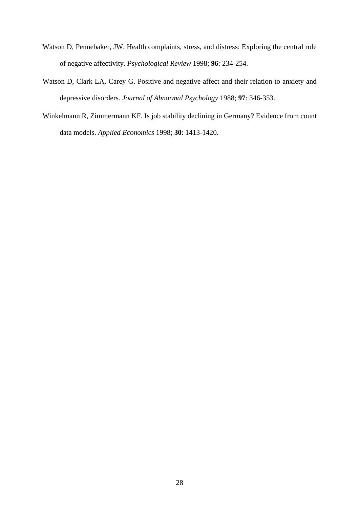- Watson D, Pennebaker, JW. Health complaints, stress, and distress: Exploring the central role of negative affectivity. *Psychological Review* 1998; **96**: 234-254.
- Watson D, Clark LA, Carey G. Positive and negative affect and their relation to anxiety and depressive disorders. *Journal of Abnormal Psychology* 1988; **97**: 346-353.
- Winkelmann R, Zimmermann KF. Is job stability declining in Germany? Evidence from count data models. *Applied Economics* 1998; **30**: 1413-1420.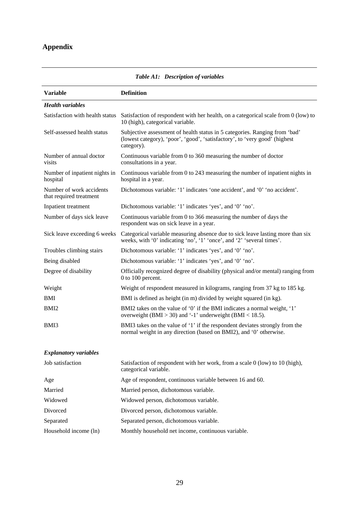# **Appendix**

| <b>Variable</b>                                     | <b>Definition</b>                                                                                                                                                      |
|-----------------------------------------------------|------------------------------------------------------------------------------------------------------------------------------------------------------------------------|
| <b>Health variables</b>                             |                                                                                                                                                                        |
| Satisfaction with health status                     | Satisfaction of respondent with her health, on a categorical scale from 0 (low) to<br>10 (high), categorical variable.                                                 |
| Self-assessed health status                         | Subjective assessment of health status in 5 categories. Ranging from 'bad'<br>(lowest category), 'poor', 'good', 'satisfactory', to 'very good' (highest<br>category). |
| Number of annual doctor<br>visits                   | Continuous variable from 0 to 360 measuring the number of doctor<br>consultations in a year.                                                                           |
| Number of inpatient nights in<br>hospital           | Continuous variable from 0 to 243 measuring the number of inpatient nights in<br>hospital in a year.                                                                   |
| Number of work accidents<br>that required treatment | Dichotomous variable: '1' indicates 'one accident', and '0' 'no accident'.                                                                                             |
| Inpatient treatment                                 | Dichotomous variable: '1' indicates 'yes', and '0' 'no'.                                                                                                               |
| Number of days sick leave                           | Continuous variable from 0 to 366 measuring the number of days the<br>respondent was on sick leave in a year.                                                          |
| Sick leave exceeding 6 weeks                        | Categorical variable measuring absence due to sick leave lasting more than six<br>weeks, with '0' indicating 'no', '1' 'once', and '2' 'several times'.                |
| Troubles climbing stairs                            | Dichotomous variable: '1' indicates 'yes', and '0' 'no'.                                                                                                               |
| Being disabled                                      | Dichotomous variable: '1' indicates 'yes', and '0' 'no'.                                                                                                               |
| Degree of disability                                | Officially recognized degree of disability (physical and/or mental) ranging from<br>$0$ to 100 percent.                                                                |
| Weight                                              | Weight of respondent measured in kilograms, ranging from 37 kg to 185 kg.                                                                                              |
| <b>BMI</b>                                          | BMI is defined as height (in m) divided by weight squared (in kg).                                                                                                     |
| BMI <sub>2</sub>                                    | BMI2 takes on the value of '0' if the BMI indicates a normal weight, '1'<br>overweight (BMI > 30) and '-1' underweight (BMI < $18.5$ ).                                |
| BMI3                                                | BMI3 takes on the value of '1' if the respondent deviates strongly from the<br>normal weight in any direction (based on BMI2), and '0' otherwise.                      |
| <b>Explanatory variables</b>                        |                                                                                                                                                                        |
| Job satisfaction                                    | Satisfaction of respondent with her work, from a scale 0 (low) to 10 (high),<br>categorical variable.                                                                  |
| Age                                                 | Age of respondent, continuous variable between 16 and 60.                                                                                                              |
| Married                                             | Married person, dichotomous variable.                                                                                                                                  |
| Widowed                                             | Widowed person, dichotomous variable.                                                                                                                                  |
| Divorced                                            | Divorced person, dichotomous variable.                                                                                                                                 |
| Separated                                           | Separated person, dichotomous variable.                                                                                                                                |
| Household income (ln)                               | Monthly household net income, continuous variable.                                                                                                                     |

*Table A1: Description of variables*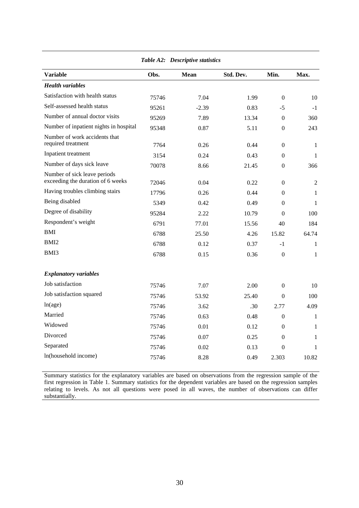| <b>Variable</b>                                                   | Obs.  | Mean    | Std. Dev. | Min.             | Max.         |
|-------------------------------------------------------------------|-------|---------|-----------|------------------|--------------|
| <b>Health variables</b>                                           |       |         |           |                  |              |
| Satisfaction with health status                                   | 75746 | 7.04    | 1.99      | $\Omega$         | 10           |
| Self-assessed health status                                       | 95261 | $-2.39$ | 0.83      | $-5$             | $-1$         |
| Number of annual doctor visits                                    | 95269 | 7.89    | 13.34     | $\theta$         | 360          |
| Number of inpatient nights in hospital                            | 95348 | 0.87    | 5.11      | $\mathbf{0}$     | 243          |
| Number of work accidents that<br>required treatment               | 7764  | 0.26    | 0.44      | $\theta$         | $\mathbf{1}$ |
| Inpatient treatment                                               | 3154  | 0.24    | 0.43      | $\Omega$         | $\mathbf{1}$ |
| Number of days sick leave                                         | 70078 | 8.66    | 21.45     | $\theta$         | 366          |
| Number of sick leave periods<br>exceeding the duration of 6 weeks | 72046 | 0.04    | 0.22      | $\theta$         | 2            |
| Having troubles climbing stairs                                   | 17796 | 0.26    | 0.44      | $\Omega$         | 1            |
| Being disabled                                                    | 5349  | 0.42    | 0.49      | $\Omega$         | 1            |
| Degree of disability                                              | 95284 | 2.22    | 10.79     | $\Omega$         | 100          |
| Respondent's weight                                               | 6791  | 77.01   | 15.56     | 40               | 184          |
| <b>BMI</b>                                                        | 6788  | 25.50   | 4.26      | 15.82            | 64.74        |
| BMI <sub>2</sub>                                                  | 6788  | 0.12    | 0.37      | $-1$             | $\mathbf{1}$ |
| BMI3                                                              | 6788  | 0.15    | 0.36      | $\boldsymbol{0}$ | 1            |
| <b>Explanatory variables</b>                                      |       |         |           |                  |              |
| Job satisfaction                                                  | 75746 | 7.07    | 2.00      | $\theta$         | 10           |
| Job satisfaction squared                                          | 75746 | 53.92   | 25.40     | $\Omega$         | 100          |
| ln(age)                                                           | 75746 | 3.62    | .30       | 2.77             | 4.09         |
| Married                                                           | 75746 | 0.63    | 0.48      | $\Omega$         | 1            |
| Widowed                                                           | 75746 | 0.01    | 0.12      | $\Omega$         | 1            |
| Divorced                                                          | 75746 | 0.07    | 0.25      | $\theta$         | 1            |
| Separated                                                         | 75746 | 0.02    | 0.13      | $\Omega$         | 1            |
| In(household income)                                              | 75746 | 8.28    | 0.49      | 2.303            | 10.82        |
|                                                                   |       |         |           |                  |              |

*Table A2: Descriptive statistics* 

Summary statistics for the explanatory variables are based on observations from the regression sample of the first regression in Table 1. Summary statistics for the dependent variables are based on the regression samples relating to levels. As not all questions were posed in all waves, the number of observations can differ substantially.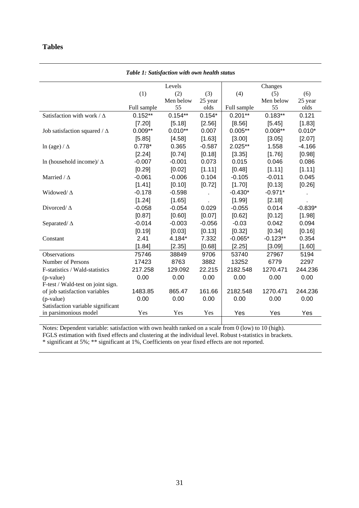### **Tables**

| Table 1: Satisfaction with own health status |             |           |          |             |                |           |  |
|----------------------------------------------|-------------|-----------|----------|-------------|----------------|-----------|--|
|                                              |             | Levels    |          |             |                |           |  |
|                                              | (1)         | (2)       | (3)      | (4)         | Changes<br>(5) | (6)       |  |
|                                              |             | Men below | 25 year  |             | Men below      | 25 year   |  |
|                                              | Full sample | 55        | olds     | Full sample | 55             | olds      |  |
| Satisfaction with work / $\Delta$            | $0.152**$   | $0.154**$ | $0.154*$ | $0.201**$   | $0.183**$      | 0.121     |  |
|                                              | [7.20]      | [5.18]    | [2.56]   | [8.56]      | [5.45]         | [1.83]    |  |
| Job satisfaction squared / $\Delta$          | $0.009**$   | $0.010**$ | 0.007    | $0.005**$   | $0.008**$      | $0.010*$  |  |
|                                              | [5.85]      | [4.58]    | [1.63]   | [3.00]      | [3.05]         | [2.07]    |  |
| $\ln$ (age) / $\Delta$                       | $0.778*$    | 0.365     | $-0.587$ | 2.025**     | 1.558          | $-4.166$  |  |
|                                              | [2.24]      | [0.74]    | [0.18]   | [3.35]      | [1.76]         | [0.98]    |  |
| In (household income)/ $\Delta$              | $-0.007$    | $-0.001$  | 0.073    | 0.015       | 0.046          | 0.086     |  |
|                                              | [0.29]      | [0.02]    | [1.11]   | [0.48]      | [1.11]         | [1.11]    |  |
| Married / $\Delta$                           | $-0.061$    | $-0.006$  | 0.104    | $-0.105$    | $-0.011$       | 0.045     |  |
|                                              | [1.41]      | [0.10]    | [0.72]   | [1.70]      | [0.13]         | [0.26]    |  |
| Widowed/ $\Delta$                            | $-0.178$    | $-0.598$  | ×,       | $-0.430*$   | $-0.971*$      |           |  |
|                                              | [1.24]      | [1.65]    |          | [1.99]      | [2.18]         |           |  |
| Divorced/ $\Delta$                           | $-0.058$    | $-0.054$  | 0.029    | $-0.055$    | 0.014          | $-0.839*$ |  |
|                                              | [0.87]      | [0.60]    | [0.07]   | [0.62]      | [0.12]         | [1.98]    |  |
| Separated/ $\Delta$                          | $-0.014$    | $-0.003$  | $-0.056$ | $-0.03$     | 0.042          | 0.094     |  |
|                                              | [0.19]      | [0.03]    | [0.13]   | [0.32]      | [0.34]         | [0.16]    |  |
| Constant                                     | 2.41        | 4.184*    | 7.332    | $-0.065*$   | $-0.123**$     | 0.354     |  |
|                                              | [1.84]      | [2.35]    | [0.68]   | [2.25]      | [3.09]         | [1.60]    |  |
| Observations                                 | 75746       | 38849     | 9706     | 53740       | 27967          | 5194      |  |
| Number of Persons                            | 17423       | 8763      | 3882     | 13252       | 6779           | 2297      |  |
| F-statistics / Wald-statistics               | 217.258     | 129.092   | 22.215   | 2182.548    | 1270.471       | 244.236   |  |
| (p-value)                                    | 0.00        | 0.00      | 0.00     | 0.00        | 0.00           | 0.00      |  |
| F-test / Wald-test on joint sign.            |             |           |          |             |                |           |  |
| of job satisfaction variables                | 1483.85     | 865.47    | 161.66   | 2182.548    | 1270.471       | 244.236   |  |
| (p-value)                                    | 0.00        | 0.00      | 0.00     | 0.00        | 0.00           | 0.00      |  |
| Satisfaction variable significant            |             |           |          |             |                |           |  |
| in parsimonious model                        | Yes         | Yes       | Yes      | Yes         | Yes            | Yes       |  |

Notes: Dependent variable: satisfaction with own health ranked on a scale from 0 (low) to 10 (high).

FGLS estimation with fixed effects and clustering at the individual level. Robust t-statistics in brackets.

\* significant at 5%; \*\* significant at 1%, Coefficients on year fixed effects are not reported.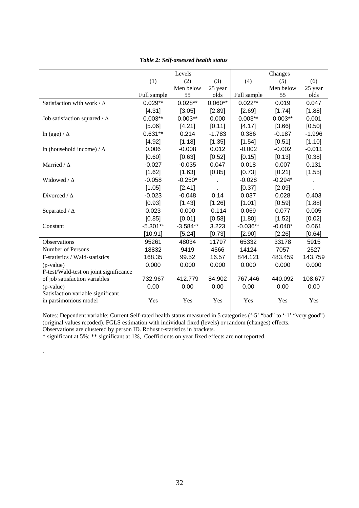| <b>Table 2: Self-assessed health status</b> |             |            |           |             |           |          |  |  |
|---------------------------------------------|-------------|------------|-----------|-------------|-----------|----------|--|--|
|                                             |             | Levels     |           |             | Changes   |          |  |  |
|                                             | (1)         | (2)        | (3)       | (4)         | (5)       | (6)      |  |  |
|                                             |             | Men below  | 25 year   |             | Men below | 25 year  |  |  |
|                                             | Full sample | 55         | olds      | Full sample | 55        | olds     |  |  |
| Satisfaction with work / $\Delta$           | $0.029**$   | $0.028**$  | $0.060**$ | $0.022**$   | 0.019     | 0.047    |  |  |
|                                             | [4.31]      | [3.05]     | [2.89]    | [2.69]      | [1.74]    | [1.88]   |  |  |
| Job satisfaction squared / $\Delta$         | $0.003**$   | $0.003**$  | 0.000     | $0.003**$   | $0.003**$ | 0.001    |  |  |
|                                             | [5.06]      | [4.21]     | [0.11]    | [4.17]      | [3.66]    | [0.50]   |  |  |
| $\ln$ (age) / $\Delta$                      | $0.631**$   | 0.214      | $-1.783$  | 0.386       | $-0.187$  | $-1.996$ |  |  |
|                                             | [4.92]      | [1.18]     | [1.35]    | [1.54]      | [0.51]    | [1.10]   |  |  |
| In (household income) / $\Delta$            | 0.006       | $-0.008$   | 0.012     | $-0.002$    | $-0.002$  | $-0.011$ |  |  |
|                                             | [0.60]      | [0.63]     | [0.52]    | [0.15]      | [0.13]    | [0.38]   |  |  |
| Married / $\Delta$                          | $-0.027$    | $-0.035$   | 0.047     | 0.018       | 0.007     | 0.131    |  |  |
|                                             | [1.62]      | [1.63]     | [0.85]    | [0.73]      | [0.21]    | [1.55]   |  |  |
| Widowed / $\Delta$                          | $-0.058$    | $-0.250*$  |           | $-0.028$    | $-0.294*$ |          |  |  |
|                                             | [1.05]      | [2.41]     |           | [0.37]      | [2.09]    |          |  |  |
| Divorced / $\Delta$                         | $-0.023$    | $-0.048$   | 0.14      | 0.037       | 0.028     | 0.403    |  |  |
|                                             | [0.93]      | [1.43]     | [1.26]    | [1.01]      | [0.59]    | [1.88]   |  |  |
| Separated / $\Delta$                        | 0.023       | 0.000      | $-0.114$  | 0.069       | 0.077     | 0.005    |  |  |
|                                             | [0.85]      | [0.01]     | [0.58]    | [1.80]      | [1.52]    | [0.02]   |  |  |
| Constant                                    | $-5.301**$  | $-3.584**$ | 3.223     | $-0.036**$  | $-0.040*$ | 0.061    |  |  |
|                                             | [10.91]     | [5.24]     | [0.73]    | [2.90]      | [2.26]    | [0.64]   |  |  |
| Observations                                | 95261       | 48034      | 11797     | 65332       | 33178     | 5915     |  |  |
| Number of Persons                           | 18832       | 9419       | 4566      | 14124       | 7057      | 2527     |  |  |
| F-statistics / Wald-statistics              | 168.35      | 99.52      | 16.57     | 844.121     | 483.459   | 143.759  |  |  |
| $(p-value)$                                 | 0.000       | 0.000      | 0.000     | 0.000       | 0.000     | 0.000    |  |  |
| F-test/Wald-test on joint significance      |             |            |           |             |           |          |  |  |
| of job satisfaction variables               | 732.967     | 412.779    | 84.902    | 767.446     | 440.092   | 108.677  |  |  |
| (p-value)                                   | 0.00        | 0.00       | 0.00      | 0.00        | 0.00      | 0.00     |  |  |
| Satisfaction variable significant           |             |            |           |             |           |          |  |  |
| in parsimonious model                       | Yes         | Yes        | Yes       | Yes         | Yes       | Yes      |  |  |

## *Table 2: Self-assessed health status*

Notes: Dependent variable: Current Self-rated health status measured in 5 categories ('-5' "bad" to '-1' "very good") (original values recoded). FGLS estimation with individual fixed (levels) or random (changes) effects.

Observations are clustered by person ID. Robust t-statistics in brackets.

.

\* significant at 5%; \*\* significant at 1%, Coefficients on year fixed effects are not reported.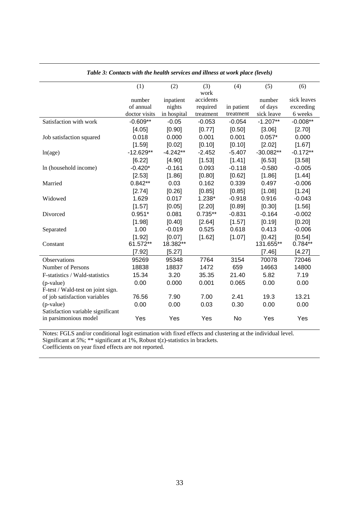|                                   | (1)           | (2)         | (3)       | (4)        | (5)         | (6)         |
|-----------------------------------|---------------|-------------|-----------|------------|-------------|-------------|
|                                   |               |             | work      |            |             |             |
|                                   | number        | inpatient   | accidents |            | number      | sick leaves |
|                                   | of annual     | nights      | required  | in patient | of days     | exceeding   |
|                                   | doctor visits | in hospital | treatment | treatment  | sick leave  | 6 weeks     |
| Satisfaction with work            | $-0.609**$    | $-0.05$     | $-0.053$  | $-0.054$   | $-1.207**$  | $-0.008**$  |
|                                   | [4.05]        | [0.90]      | [0.77]    | [0.50]     | [3.06]      | [2.70]      |
| Job satisfaction squared          | 0.018         | 0.000       | 0.001     | 0.001      | $0.057*$    | 0.000       |
|                                   | [1.59]        | [0.02]      | [0.10]    | [0.10]     | [2.02]      | [1.67]      |
| ln(age)                           | $-12.629**$   | $-4.242**$  | $-2.452$  | $-5.407$   | $-30.082**$ | $-0.172**$  |
|                                   | [6.22]        | [4.90]      | [1.53]    | [1.41]     | [6.53]      | [3.58]      |
| In (household income)             | $-0.420*$     | $-0.161$    | 0.093     | $-0.118$   | $-0.580$    | $-0.005$    |
|                                   | [2.53]        | [1.86]      | [0.80]    | [0.62]     | [1.86]      | [1.44]      |
| Married                           | $0.842**$     | 0.03        | 0.162     | 0.339      | 0.497       | $-0.006$    |
|                                   | [2.74]        | [0.26]      | [0.85]    | [0.85]     | [1.08]      | [1.24]      |
| Widowed                           | 1.629         | 0.017       | $1.238*$  | $-0.918$   | 0.916       | $-0.043$    |
|                                   | [1.57]        | [0.05]      | [2.20]    | [0.89]     | [0.30]      | [1.56]      |
| Divorced                          | $0.951*$      | 0.081       | $0.735**$ | $-0.831$   | $-0.164$    | $-0.002$    |
|                                   | [1.98]        | [0.40]      | [2.64]    | [1.57]     | [0.19]      | [0.20]      |
| Separated                         | 1.00          | $-0.019$    | 0.525     | 0.618      | 0.413       | $-0.006$    |
|                                   | [1.92]        | [0.07]      | [1.62]    | [1.07]     | [0.42]      | [0.54]      |
| Constant                          | 61.572**      | 18.382**    |           |            | 131.655**   | $0.784**$   |
|                                   | [7.92]        | [5.27]      |           |            | [7.46]      | [4.27]      |
| Observations                      | 95269         | 95348       | 7764      | 3154       | 70078       | 72046       |
| Number of Persons                 | 18838         | 18837       | 1472      | 659        | 14663       | 14800       |
| F-statistics / Wald-statistics    | 15.34         | 3.20        | 35.35     | 21.40      | 5.82        | 7.19        |
| (p-value)                         | 0.00          | 0.000       | 0.001     | 0.065      | 0.00        | 0.00        |
| F-test / Wald-test on joint sign. |               |             |           |            |             |             |
| of job satisfaction variables     | 76.56         | 7.90        | 7.00      | 2.41       | 19.3        | 13.21       |
| (p-value)                         | 0.00          | 0.00        | 0.03      | 0.30       | 0.00        | 0.00        |
| Satisfaction variable significant |               |             |           |            |             |             |
| in parsimonious model             | Yes           | Yes         | Yes       | No         | Yes         | Yes         |

*Table 3: Contacts with the health services and illness at work place (levels)* 

Notes: FGLS and/or conditional logit estimation with fixed effects and clustering at the individual level. Significant at  $5\%$ ; \*\* significant at  $1\%$ , Robust t(z)-statistics in brackets.

Coefficients on year fixed effects are not reported.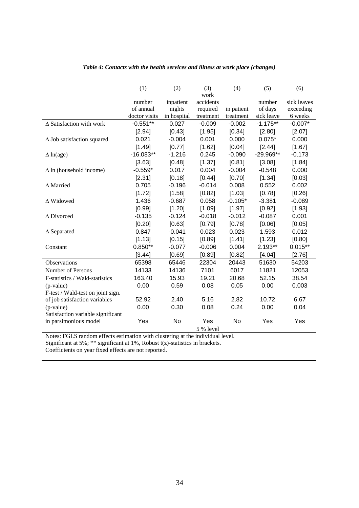|                                    | (1)           | (2)         | (3)<br>work | (4)        | (5)         | (6)         |
|------------------------------------|---------------|-------------|-------------|------------|-------------|-------------|
|                                    | number        | inpatient   | accidents   |            | number      | sick leaves |
|                                    | of annual     | nights      | required    | in patient | of days     | exceeding   |
|                                    | doctor visits | in hospital | treatment   | treatment  | sick leave  | 6 weeks     |
| $\triangle$ Satisfaction with work | $-0.551**$    | 0.027       | $-0.009$    | $-0.002$   | $-1.175**$  | $-0.007*$   |
|                                    | [2.94]        | [0.43]      | [1.95]      | [0.34]     | [2.80]      | [2.07]      |
| $\Delta$ Job satisfaction squared  | 0.021         | $-0.004$    | 0.001       | 0.000      | $0.075*$    | 0.000       |
|                                    | [1.49]        | [0.77]      | [1.62]      | [0.04]     | [2.44]      | [1.67]      |
| $\Delta$ ln(age)                   | $-16.083**$   | $-1.216$    | 0.245       | $-0.090$   | $-29.969**$ | $-0.173$    |
|                                    | [3.63]        | [0.48]      | [1.37]      | [0.81]     | [3.08]      | [1.84]      |
| $\Delta$ ln (household income)     | $-0.559*$     | 0.017       | 0.004       | $-0.004$   | $-0.548$    | 0.000       |
|                                    | [2.31]        | [0.18]      | [0.44]      | [0.70]     | [1.34]      | [0.03]      |
| $\Delta$ Married                   | 0.705         | $-0.196$    | $-0.014$    | 0.008      | 0.552       | 0.002       |
|                                    | [1.72]        | [1.58]      | [0.82]      | [1.03]     | [0.78]      | [0.26]      |
| $\Delta$ Widowed                   | 1.436         | $-0.687$    | 0.058       | $-0.105*$  | $-3.381$    | $-0.089$    |
|                                    | [0.99]        | [1.20]      | [1.09]      | [1.97]     | [0.92]      | [1.93]      |
| $\triangle$ Divorced               | $-0.135$      | $-0.124$    | $-0.018$    | $-0.012$   | $-0.087$    | 0.001       |
|                                    | [0.20]        | [0.63]      | [0.79]      | [0.78]     | [0.06]      | [0.05]      |
| $\Delta$ Separated                 | 0.847         | $-0.041$    | 0.023       | 0.023      | 1.593       | 0.012       |
|                                    | [1.13]        | [0.15]      | [0.89]      | [1.41]     | [1.23]      | [0.80]      |
| Constant                           | $0.850**$     | $-0.077$    | $-0.006$    | 0.004      | 2.193**     | $0.015**$   |
|                                    | $3.44$ ]      | [0.69]      | [0.89]      | [0.82]     | [4.04]      | [2.76]      |
| <b>Observations</b>                | 65398         | 65446       | 22304       | 20443      | 51630       | 54203       |
| Number of Persons                  | 14133         | 14136       | 7101        | 6017       | 11821       | 12053       |
| F-statistics / Wald-statistics     | 163.40        | 15.93       | 19.21       | 20.68      | 52.15       | 38.54       |
| (p-value)                          | 0.00          | 0.59        | 0.08        | 0.05       | 0.00        | 0.003       |
| F-test / Wald-test on joint sign.  |               |             |             |            |             |             |
| of job satisfaction variables      | 52.92         | 2.40        | 5.16        | 2.82       | 10.72       | 6.67        |
| (p-value)                          | 0.00          | 0.30        | 0.08        | 0.24       | 0.00        | 0.04        |
| Satisfaction variable significant  |               |             |             |            |             |             |
| in parsimonious model              | Yes           | No          | Yes         | No         | Yes         | Yes         |
|                                    |               |             | 5 % level   |            |             |             |

*Table 4: Contacts with the health services and illness at work place (changes)* 

Notes: FGLS random effects estimation with clustering at the individual level.

Significant at  $5\%$ ; \*\* significant at  $1\%$ , Robust t(z)-statistics in brackets.

Coefficients on year fixed effects are not reported.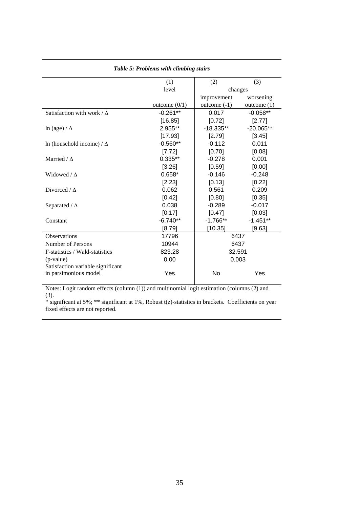| $\omega$ ic $\omega$ . I rootents want cumotity stand |                 |                |               |  |  |  |
|-------------------------------------------------------|-----------------|----------------|---------------|--|--|--|
|                                                       | (1)             | (2)            | (3)           |  |  |  |
|                                                       | level           | changes        |               |  |  |  |
|                                                       |                 | improvement    | worsening     |  |  |  |
|                                                       | outcome $(0/1)$ | outcome $(-1)$ | outcome $(1)$ |  |  |  |
| Satisfaction with work / $\Delta$                     | $-0.261**$      | 0.017          | $-0.058**$    |  |  |  |
|                                                       | [16.85]         | [0.72]         | [2.77]        |  |  |  |
| $\ln$ (age) / $\Delta$                                | 2.955**         | $-18.335**$    | $-20.065**$   |  |  |  |
|                                                       | [17.93]         | [2.79]         | [3.45]        |  |  |  |
| In (household income) / $\Delta$                      | $-0.560**$      | $-0.112$       | 0.011         |  |  |  |
|                                                       | [7.72]          | [0.70]         | [0.08]        |  |  |  |
| Married / $\Delta$                                    | $0.335**$       | $-0.278$       | 0.001         |  |  |  |
|                                                       | [3.26]          | [0.59]         | [0.00]        |  |  |  |
| Widowed / $\Delta$                                    | $0.658*$        | $-0.146$       | $-0.248$      |  |  |  |
|                                                       | [2.23]          | [0.13]         | [0.22]        |  |  |  |
| Divorced / $\Delta$                                   | 0.062           | 0.561          | 0.209         |  |  |  |
|                                                       | [0.42]          | [0.80]         | [0.35]        |  |  |  |
| Separated / $\Delta$                                  | 0.038           | $-0.289$       | $-0.017$      |  |  |  |
|                                                       | [0.17]          | [0.47]         | [0.03]        |  |  |  |
| Constant                                              | $-6.740**$      | $-1.766**$     | $-1.451**$    |  |  |  |
|                                                       | $[8.79]$        | [10.35]        | [9.63]        |  |  |  |
| <b>Observations</b>                                   | 17796           | 6437           |               |  |  |  |
| Number of Persons                                     | 10944           | 6437           |               |  |  |  |
| F-statistics / Wald-statistics                        | 823.28          | 32.591         |               |  |  |  |
| (p-value)                                             | 0.00            | 0.003          |               |  |  |  |
| Satisfaction variable significant                     |                 |                |               |  |  |  |
| in parsimonious model                                 | Yes             | No             | Yes           |  |  |  |
|                                                       |                 |                |               |  |  |  |

#### *Table 5: Problems with climbing stairs*

Notes: Logit random effects (column (1)) and multinomial logit estimation (columns (2) and (3).

\* significant at 5%; \*\* significant at 1%, Robust t(z)-statistics in brackets. Coefficients on year fixed effects are not reported.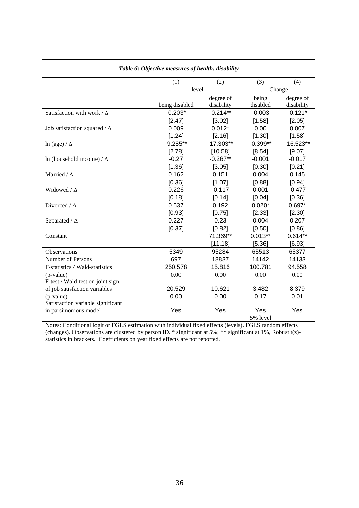|                                     | (1)            | (2)         | (3)        | (4)         |
|-------------------------------------|----------------|-------------|------------|-------------|
|                                     | level          |             | Change     |             |
|                                     |                | degree of   | being      | degree of   |
|                                     | being disabled | disability  | disabled   | disability  |
| Satisfaction with work / $\Delta$   | $-0.203*$      | $-0.214**$  | $-0.003$   | $-0.121*$   |
|                                     | [2.47]         | [3.02]      | [1.58]     | [2.05]      |
| Job satisfaction squared / $\Delta$ | 0.009          | $0.012*$    | 0.00       | 0.007       |
|                                     | [1.24]         | [2.16]      | [1.30]     | [1.58]      |
| $\ln$ (age) / $\Delta$              | $-9.285**$     | $-17.303**$ | $-0.399**$ | $-16.523**$ |
|                                     | [2.78]         | [10.58]     | [8.54]     | [9.07]      |
| In (household income) / $\Delta$    | $-0.27$        | $-0.267**$  | $-0.001$   | $-0.017$    |
|                                     | [1.36]         | [3.05]      | [0.30]     | [0.21]      |
| Married / $\Delta$                  | 0.162          | 0.151       | 0.004      | 0.145       |
|                                     | [0.36]         | [1.07]      | [0.88]     | [0.94]      |
| Widowed / $\Delta$                  | 0.226          | $-0.117$    | 0.001      | $-0.477$    |
|                                     | [0.18]         | [0.14]      | [0.04]     | [0.36]      |
| Divorced / $\Delta$                 | 0.537          | 0.192       | $0.020*$   | $0.697*$    |
|                                     | [0.93]         | [0.75]      | [2.33]     | [2.30]      |
| Separated / $\Delta$                | 0.227          | 0.23        | 0.004      | 0.207       |
|                                     | [0.37]         | [0.82]      | [0.50]     | [0.86]      |
| Constant                            |                | 71.369**    | $0.013**$  | $0.614**$   |
|                                     |                | [11.18]     | [5.36]     | [6.93]      |
| <b>Observations</b>                 | 5349           | 95284       | 65513      | 65377       |
| Number of Persons                   | 697            | 18837       | 14142      | 14133       |
| F-statistics / Wald-statistics      | 250.578        | 15.816      | 100.781    | 94.558      |
| (p-value)                           | 0.00           | 0.00        | 0.00       | 0.00        |
| F-test / Wald-test on joint sign.   |                |             |            |             |
| of job satisfaction variables       | 20.529         | 10.621      | 3.482      | 8.379       |
| (p-value)                           | 0.00           | 0.00        | 0.17       | 0.01        |
| Satisfaction variable significant   |                |             |            |             |
| in parsimonious model               | Yes            | Yes         | Yes        | Yes         |
|                                     |                |             | 5% level   |             |

#### *Table 6: Objective measures of health: disability*

Notes: Conditional logit or FGLS estimation with individual fixed effects (levels). FGLS random effects (changes). Observations are clustered by person ID. \* significant at 5%; \*\* significant at 1%, Robust t(z) statistics in brackets. Coefficients on year fixed effects are not reported.